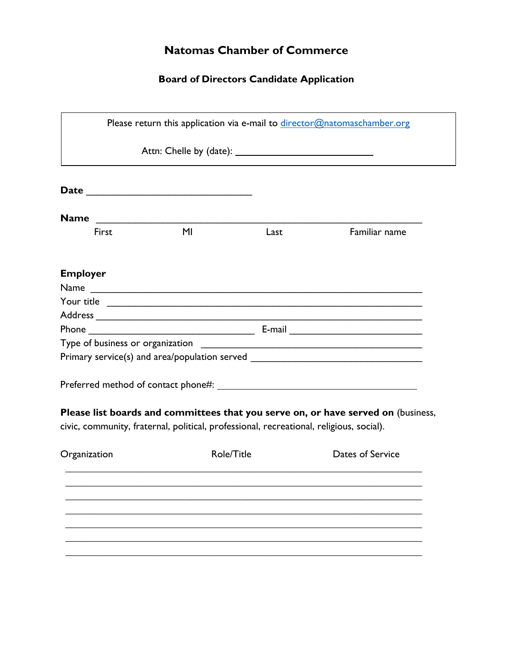## **Natomas Chamber of Commerce**

## **Board of Directors Candidate Application**

|                 |                                                                                         |      | Please return this application via e-mail to director@natomaschamber.org          |
|-----------------|-----------------------------------------------------------------------------------------|------|-----------------------------------------------------------------------------------|
|                 |                                                                                         |      |                                                                                   |
|                 |                                                                                         |      |                                                                                   |
|                 |                                                                                         |      |                                                                                   |
| First           | M <sub>l</sub>                                                                          | Last | Familiar name                                                                     |
| <b>Employer</b> |                                                                                         |      |                                                                                   |
|                 | Name                                                                                    |      |                                                                                   |
|                 |                                                                                         |      |                                                                                   |
|                 |                                                                                         |      |                                                                                   |
|                 |                                                                                         |      |                                                                                   |
|                 |                                                                                         |      |                                                                                   |
|                 |                                                                                         |      | Primary service(s) and area/population served                                     |
|                 |                                                                                         |      |                                                                                   |
|                 |                                                                                         |      |                                                                                   |
|                 |                                                                                         |      | Please list boards and committees that you serve on, or have served on (business, |
|                 |                                                                                         |      |                                                                                   |
|                 | civic, community, fraternal, political, professional, recreational, religious, social). |      |                                                                                   |
|                 |                                                                                         |      |                                                                                   |